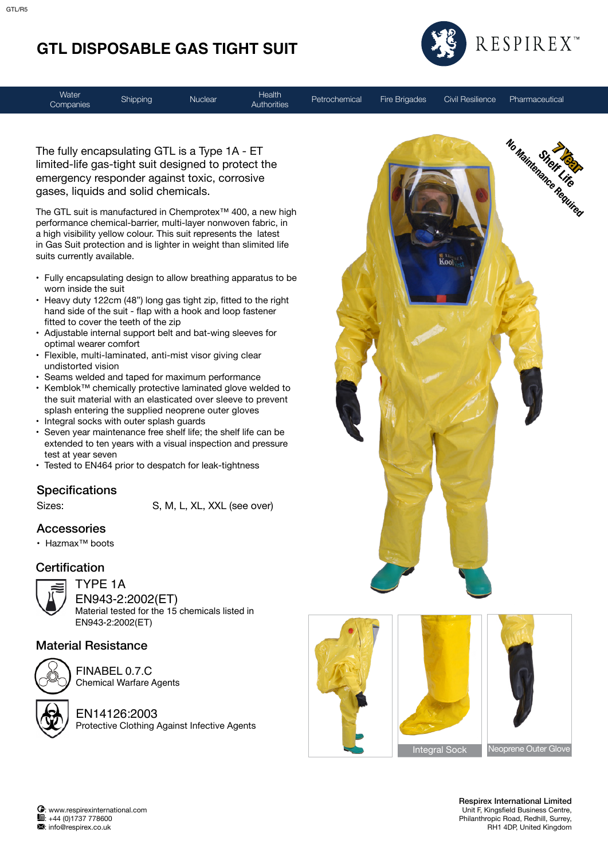# **GTL DISPOSABLE GAS TIGHT SUIT**



**Water** Companies Shipping Nuclear Health

Authorities Petrochemical Fire Brigades Civil Resilience Pharmaceutical

The fully encapsulating GTL is a Type 1A - ET limited-life gas-tight suit designed to protect the emergency responder against toxic, corrosive gases, liquids and solid chemicals.

The GTL suit is manufactured in Chemprotex™ 400, a new high performance chemical-barrier, multi-layer nonwoven fabric, in a high visibility yellow colour. This suit represents the latest in Gas Suit protection and is lighter in weight than slimited life suits currently available.

- • Fully encapsulating design to allow breathing apparatus to be worn inside the suit
- Heavy duty 122cm (48") long gas tight zip, fitted to the right hand side of the suit - flap with a hook and loop fastener fitted to cover the teeth of the zip
- Adjustable internal support belt and bat-wing sleeves for optimal wearer comfort
- Flexible, multi-laminated, anti-mist visor giving clear undistorted vision
- Seams welded and taped for maximum performance
- • Kemblok™ chemically protective laminated glove welded to the suit material with an elasticated over sleeve to prevent splash entering the supplied neoprene outer gloves
- Integral socks with outer splash guards
- • Seven year maintenance free shelf life; the shelf life can be extended to ten years with a visual inspection and pressure test at year seven
- Tested to EN464 prior to despatch for leak-tightness

#### **Specifications**

Sizes: S, M, L, XL, XXL (see over)

#### Accessories

• Hazmax™ boots

### **Certification**



TYPE 1A EN943-2:2002(ET) Material tested for the 15 chemicals listed in EN943-2:2002(ET)

#### Material Resistance



FINABEL 0.7.C Chemical Warfare Agents

EN14126:2003 Protective Clothing Against Infective Agents



 Respirex International Limited Unit F, Kingsfield Business Centre, Philanthropic Road, Redhill, Surrey, RH1 4DP, United Kingdom